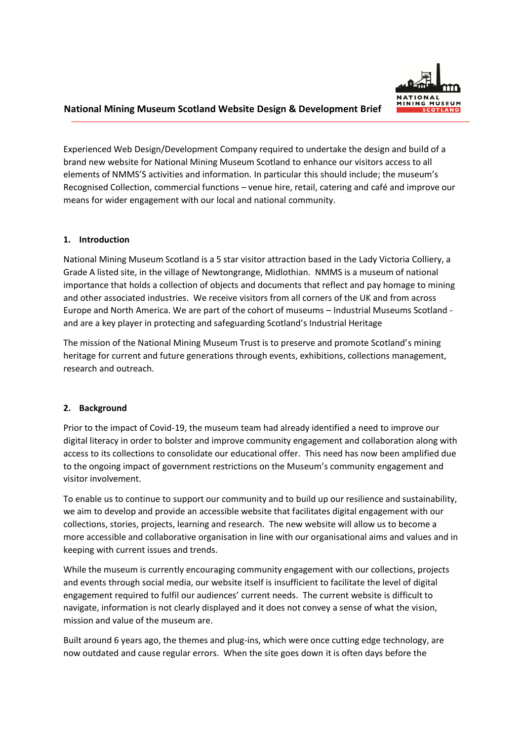## **National Mining Museum Scotland Website Design & Development Brief**

Experienced Web Design/Development Company required to undertake the design and build of a brand new website for National Mining Museum Scotland to enhance our visitors access to all elements of NMMS'S activities and information. In particular this should include; the museum's Recognised Collection, commercial functions – venue hire, retail, catering and café and improve our means for wider engagement with our local and national community.

## **1. Introduction**

National Mining Museum Scotland is a 5 star visitor attraction based in the Lady Victoria Colliery, a Grade A listed site, in the village of Newtongrange, Midlothian. NMMS is a museum of national importance that holds a collection of objects and documents that reflect and pay homage to mining and other associated industries. We receive visitors from all corners of the UK and from across Europe and North America. We are part of the cohort of museums – Industrial Museums Scotland and are a key player in protecting and safeguarding Scotland's Industrial Heritage

The mission of the National Mining Museum Trust is to preserve and promote Scotland's mining heritage for current and future generations through events, exhibitions, collections management, research and outreach.

# **2. Background**

Prior to the impact of Covid-19, the museum team had already identified a need to improve our digital literacy in order to bolster and improve community engagement and collaboration along with access to its collections to consolidate our educational offer. This need has now been amplified due to the ongoing impact of government restrictions on the Museum's community engagement and visitor involvement.

To enable us to continue to support our community and to build up our resilience and sustainability, we aim to develop and provide an accessible website that facilitates digital engagement with our collections, stories, projects, learning and research. The new website will allow us to become a more accessible and collaborative organisation in line with our organisational aims and values and in keeping with current issues and trends.

While the museum is currently encouraging community engagement with our collections, projects and events through social media, our website itself is insufficient to facilitate the level of digital engagement required to fulfil our audiences' current needs. The current website is difficult to navigate, information is not clearly displayed and it does not convey a sense of what the vision, mission and value of the museum are.

Built around 6 years ago, the themes and plug-ins, which were once cutting edge technology, are now outdated and cause regular errors. When the site goes down it is often days before the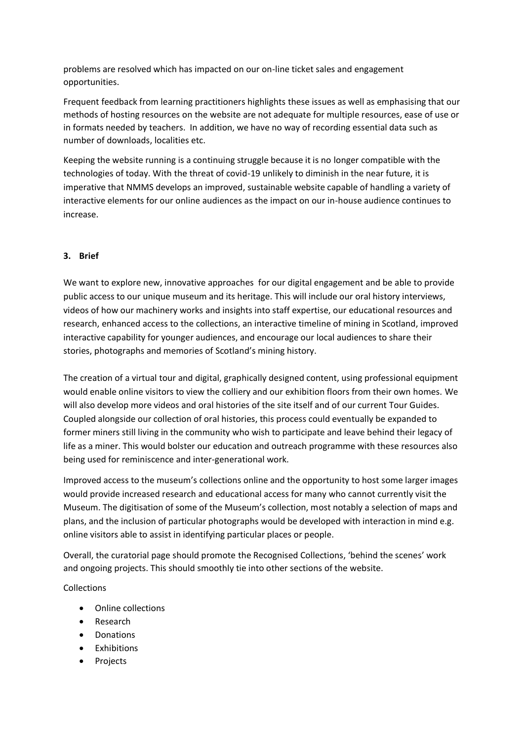problems are resolved which has impacted on our on-line ticket sales and engagement opportunities.

Frequent feedback from learning practitioners highlights these issues as well as emphasising that our methods of hosting resources on the website are not adequate for multiple resources, ease of use or in formats needed by teachers. In addition, we have no way of recording essential data such as number of downloads, localities etc.

Keeping the website running is a continuing struggle because it is no longer compatible with the technologies of today. With the threat of covid-19 unlikely to diminish in the near future, it is imperative that NMMS develops an improved, sustainable website capable of handling a variety of interactive elements for our online audiences as the impact on our in-house audience continues to increase.

# **3. Brief**

We want to explore new, innovative approaches for our digital engagement and be able to provide public access to our unique museum and its heritage. This will include our oral history interviews, videos of how our machinery works and insights into staff expertise, our educational resources and research, enhanced access to the collections, an interactive timeline of mining in Scotland, improved interactive capability for younger audiences, and encourage our local audiences to share their stories, photographs and memories of Scotland's mining history.

The creation of a virtual tour and digital, graphically designed content, using professional equipment would enable online visitors to view the colliery and our exhibition floors from their own homes. We will also develop more videos and oral histories of the site itself and of our current Tour Guides. Coupled alongside our collection of oral histories, this process could eventually be expanded to former miners still living in the community who wish to participate and leave behind their legacy of life as a miner. This would bolster our education and outreach programme with these resources also being used for reminiscence and inter-generational work.

Improved access to the museum's collections online and the opportunity to host some larger images would provide increased research and educational access for many who cannot currently visit the Museum. The digitisation of some of the Museum's collection, most notably a selection of maps and plans, and the inclusion of particular photographs would be developed with interaction in mind e.g. online visitors able to assist in identifying particular places or people.

Overall, the curatorial page should promote the Recognised Collections, 'behind the scenes' work and ongoing projects. This should smoothly tie into other sections of the website.

Collections

- Online collections
- Research
- Donations
- Exhibitions
- Projects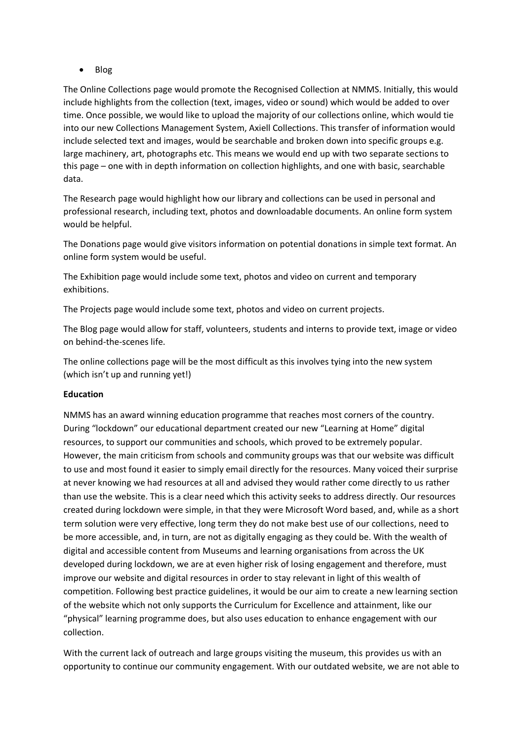## • Blog

The Online Collections page would promote the Recognised Collection at NMMS. Initially, this would include highlights from the collection (text, images, video or sound) which would be added to over time. Once possible, we would like to upload the majority of our collections online, which would tie into our new Collections Management System, Axiell Collections. This transfer of information would include selected text and images, would be searchable and broken down into specific groups e.g. large machinery, art, photographs etc. This means we would end up with two separate sections to this page – one with in depth information on collection highlights, and one with basic, searchable data.

The Research page would highlight how our library and collections can be used in personal and professional research, including text, photos and downloadable documents. An online form system would be helpful.

The Donations page would give visitors information on potential donations in simple text format. An online form system would be useful.

The Exhibition page would include some text, photos and video on current and temporary exhibitions.

The Projects page would include some text, photos and video on current projects.

The Blog page would allow for staff, volunteers, students and interns to provide text, image or video on behind-the-scenes life.

The online collections page will be the most difficult as this involves tying into the new system (which isn't up and running yet!)

### **Education**

NMMS has an award winning education programme that reaches most corners of the country. During "lockdown" our educational department created our new "Learning at Home" digital resources, to support our communities and schools, which proved to be extremely popular. However, the main criticism from schools and community groups was that our website was difficult to use and most found it easier to simply email directly for the resources. Many voiced their surprise at never knowing we had resources at all and advised they would rather come directly to us rather than use the website. This is a clear need which this activity seeks to address directly. Our resources created during lockdown were simple, in that they were Microsoft Word based, and, while as a short term solution were very effective, long term they do not make best use of our collections, need to be more accessible, and, in turn, are not as digitally engaging as they could be. With the wealth of digital and accessible content from Museums and learning organisations from across the UK developed during lockdown, we are at even higher risk of losing engagement and therefore, must improve our website and digital resources in order to stay relevant in light of this wealth of competition. Following best practice guidelines, it would be our aim to create a new learning section of the website which not only supports the Curriculum for Excellence and attainment, like our "physical" learning programme does, but also uses education to enhance engagement with our collection.

With the current lack of outreach and large groups visiting the museum, this provides us with an opportunity to continue our community engagement. With our outdated website, we are not able to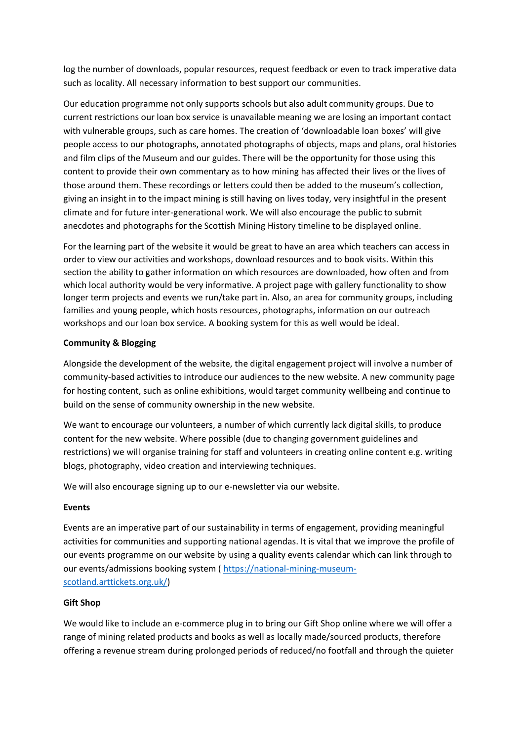log the number of downloads, popular resources, request feedback or even to track imperative data such as locality. All necessary information to best support our communities.

Our education programme not only supports schools but also adult community groups. Due to current restrictions our loan box service is unavailable meaning we are losing an important contact with vulnerable groups, such as care homes. The creation of 'downloadable loan boxes' will give people access to our photographs, annotated photographs of objects, maps and plans, oral histories and film clips of the Museum and our guides. There will be the opportunity for those using this content to provide their own commentary as to how mining has affected their lives or the lives of those around them. These recordings or letters could then be added to the museum's collection, giving an insight in to the impact mining is still having on lives today, very insightful in the present climate and for future inter-generational work. We will also encourage the public to submit anecdotes and photographs for the Scottish Mining History timeline to be displayed online.

For the learning part of the website it would be great to have an area which teachers can access in order to view our activities and workshops, download resources and to book visits. Within this section the ability to gather information on which resources are downloaded, how often and from which local authority would be very informative. A project page with gallery functionality to show longer term projects and events we run/take part in. Also, an area for community groups, including families and young people, which hosts resources, photographs, information on our outreach workshops and our loan box service. A booking system for this as well would be ideal.

## **Community & Blogging**

Alongside the development of the website, the digital engagement project will involve a number of community-based activities to introduce our audiences to the new website. A new community page for hosting content, such as online exhibitions, would target community wellbeing and continue to build on the sense of community ownership in the new website.

We want to encourage our volunteers, a number of which currently lack digital skills, to produce content for the new website. Where possible (due to changing government guidelines and restrictions) we will organise training for staff and volunteers in creating online content e.g. writing blogs, photography, video creation and interviewing techniques.

We will also encourage signing up to our e-newsletter via our website.

# **Events**

Events are an imperative part of our sustainability in terms of engagement, providing meaningful activities for communities and supporting national agendas. It is vital that we improve the profile of our events programme on our website by using a quality events calendar which can link through to our events/admissions booking system ( [https://national-mining-museum](https://national-mining-museum-scotland.arttickets.org.uk/)[scotland.arttickets.org.uk/\)](https://national-mining-museum-scotland.arttickets.org.uk/)

# **Gift Shop**

We would like to include an e-commerce plug in to bring our Gift Shop online where we will offer a range of mining related products and books as well as locally made/sourced products, therefore offering a revenue stream during prolonged periods of reduced/no footfall and through the quieter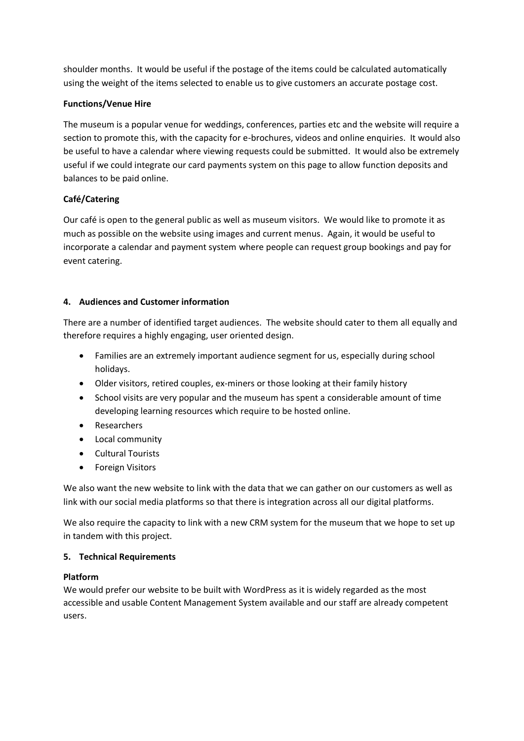shoulder months. It would be useful if the postage of the items could be calculated automatically using the weight of the items selected to enable us to give customers an accurate postage cost.

# **Functions/Venue Hire**

The museum is a popular venue for weddings, conferences, parties etc and the website will require a section to promote this, with the capacity for e-brochures, videos and online enquiries. It would also be useful to have a calendar where viewing requests could be submitted. It would also be extremely useful if we could integrate our card payments system on this page to allow function deposits and balances to be paid online.

# **Café/Catering**

Our café is open to the general public as well as museum visitors. We would like to promote it as much as possible on the website using images and current menus. Again, it would be useful to incorporate a calendar and payment system where people can request group bookings and pay for event catering.

# **4. Audiences and Customer information**

There are a number of identified target audiences. The website should cater to them all equally and therefore requires a highly engaging, user oriented design.

- Families are an extremely important audience segment for us, especially during school holidays.
- Older visitors, retired couples, ex-miners or those looking at their family history
- School visits are very popular and the museum has spent a considerable amount of time developing learning resources which require to be hosted online.
- Researchers
- Local community
- Cultural Tourists
- Foreign Visitors

We also want the new website to link with the data that we can gather on our customers as well as link with our social media platforms so that there is integration across all our digital platforms.

We also require the capacity to link with a new CRM system for the museum that we hope to set up in tandem with this project.

# **5. Technical Requirements**

# **Platform**

We would prefer our website to be built with WordPress as it is widely regarded as the most accessible and usable Content Management System available and our staff are already competent users.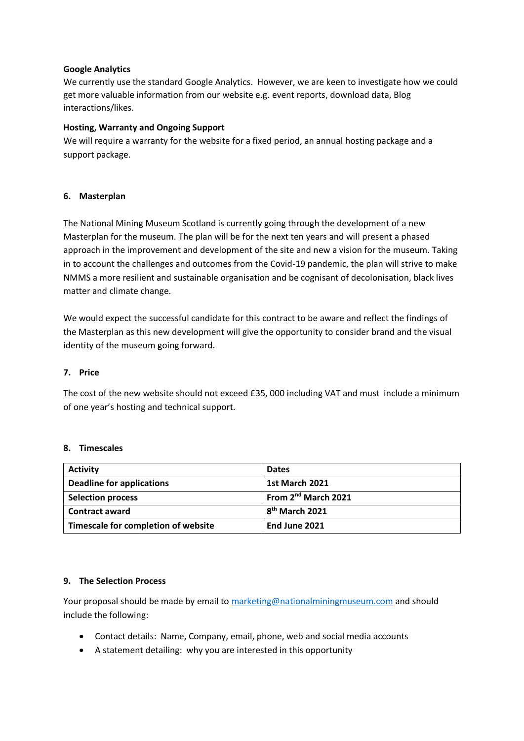## **Google Analytics**

We currently use the standard Google Analytics. However, we are keen to investigate how we could get more valuable information from our website e.g. event reports, download data, Blog interactions/likes.

## **Hosting, Warranty and Ongoing Support**

We will require a warranty for the website for a fixed period, an annual hosting package and a support package.

## **6. Masterplan**

The National Mining Museum Scotland is currently going through the development of a new Masterplan for the museum. The plan will be for the next ten years and will present a phased approach in the improvement and development of the site and new a vision for the museum. Taking in to account the challenges and outcomes from the Covid-19 pandemic, the plan will strive to make NMMS a more resilient and sustainable organisation and be cognisant of decolonisation, black lives matter and climate change.

We would expect the successful candidate for this contract to be aware and reflect the findings of the Masterplan as this new development will give the opportunity to consider brand and the visual identity of the museum going forward.

### **7. Price**

The cost of the new website should not exceed £35, 000 including VAT and must include a minimum of one year's hosting and technical support.

### **8. Timescales**

| <b>Activity</b>                     | <b>Dates</b>                    |
|-------------------------------------|---------------------------------|
| <b>Deadline for applications</b>    | <b>1st March 2021</b>           |
| <b>Selection process</b>            | From 2 <sup>nd</sup> March 2021 |
| <b>Contract award</b>               | 8 <sup>th</sup> March 2021      |
| Timescale for completion of website | End June 2021                   |

### **9. The Selection Process**

Your proposal should be made by email to [marketing@nationalminingmuseum.com](mailto:marketing@nationalminingmuseum.com) and should include the following:

- Contact details: Name, Company, email, phone, web and social media accounts
- A statement detailing: why you are interested in this opportunity